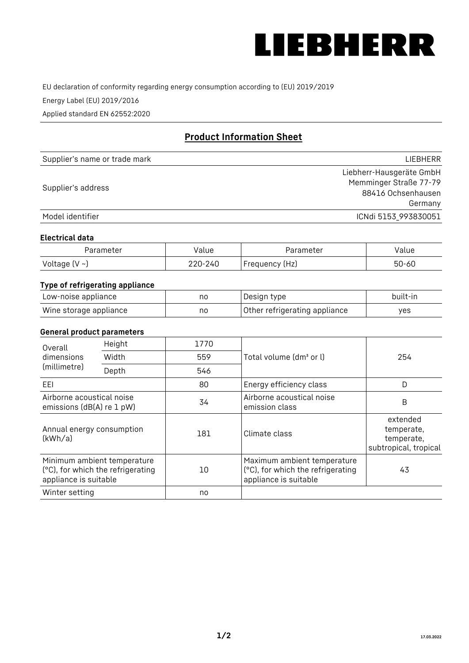

EU declaration of conformity regarding energy consumption according to (EU) 2019/2019

Energy Label (EU) 2019/2016

Applied standard EN 62552:2020

# **Product Information Sheet**

| Supplier's name or trade mark | <b>LIFBHFRR</b>          |
|-------------------------------|--------------------------|
|                               | Liebherr-Hausgeräte GmbH |
| Supplier's address            | Memminger Straße 77-79   |
|                               | 88416 Ochsenhausen       |
|                               | Germany                  |
| Model identifier              | ICNdi 5153 993830051     |

#### **Electrical data**

| Parameter           | Value   | Parameter      | alue/     |
|---------------------|---------|----------------|-----------|
| Voltage (V $\sim$ ) | 220-240 | Frequency (Hz) | $50 - 60$ |

## **Type of refrigerating appliance**

| Low-noise appliance    | no | Design type                   | built-in |
|------------------------|----|-------------------------------|----------|
| Wine storage appliance | no | Other refrigerating appliance | yes      |

### **General product parameters**

| Height<br>Overall<br>dimensions<br>Width<br>(millimetre)<br>Depth |                                                                  | 1770 |                                                                                           | 254                                                           |
|-------------------------------------------------------------------|------------------------------------------------------------------|------|-------------------------------------------------------------------------------------------|---------------------------------------------------------------|
|                                                                   |                                                                  | 559  | Total volume (dm <sup>3</sup> or l)                                                       |                                                               |
|                                                                   |                                                                  | 546  |                                                                                           |                                                               |
| EEL                                                               |                                                                  | 80   | Energy efficiency class                                                                   | D                                                             |
| Airborne acoustical noise<br>emissions (dB(A) re 1 pW)            |                                                                  | 34   | Airborne acoustical noise<br>emission class                                               | B                                                             |
| Annual energy consumption<br>(kWh/a)                              |                                                                  | 181  | Climate class                                                                             | extended<br>temperate,<br>temperate,<br>subtropical, tropical |
| appliance is suitable                                             | Minimum ambient temperature<br>(°C), for which the refrigerating | 10   | Maximum ambient temperature<br>(°C), for which the refrigerating<br>appliance is suitable | 43                                                            |
| Winter setting                                                    |                                                                  | no   |                                                                                           |                                                               |